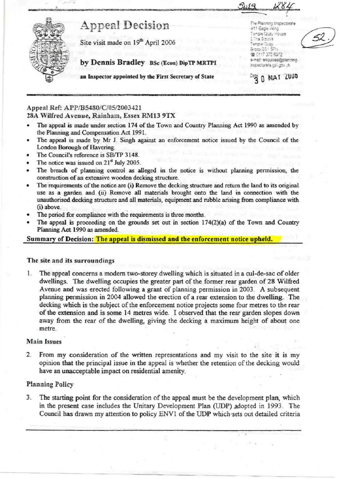

# **Appeal Decision**

Site visit made on  $19^{\text{th}}$  April 2006  $\frac{2.72 \times 2.079}{7 \times 1000}$ 

by Dennis Bradley BSc (Econ) DipTP MRTPI **By Dennis Bradley BSC (Econ) DipTP MRTPI** 

The Planning Inspectorate<br>4/11 Eagle Wing Tamp<del>ia</del> Quay House<br>2 The Sminre Brato: 88 | \$P.V 's 0117 372 6372<br>e-nail: enquines@planning-

 $0$ <sub>0%</sub>  $0$  MAT  $2000$ 

an Inspector **appointed** by the First Secretary of State

# Appeal Ref: APP/BS480/C/05/2003421

*2~A* Wilfred Avenue, Rainham, Essex RM13 9TX

- The appeal is made under section 174 of the Town and Country Planning Act 1990 as amended by the Planning and Compensation Act 1991.
- The appeal is made by Mr J. Singh against an enforcement notice issued by the Council of the London Borough of Havering.
- The Council's reference is SB/TP 3148.
- The notice was issued on  $21<sup>st</sup>$  July 2005.
- The breach of planning control as alleged in the notice is without planning permission, the construction of an extensive wooden decking structure.
- The requirements of the notice are (i) Remove the decking structure and return the land to its original use as a garden and (ii) Remove all materials brought onto the land in connection with the unauthorised decking structure and all materials, equipment and rubble arising from compliance with (i) above.
- The period for compliance with the requirements is three months.
- The appeal is proceeding on the grounds set out in section  $174(2)(a)$  of the Town and Country Planning Act 1990 *as* amended.

**Summary of Decision: The appeal** is **dismissed and the enforcement notice upheld.** 

## The site and its surroundings

. planning permission in 2004 allowed the erection of a rear extension to the dwelling. The 1. The appeal concerns a modem two-storey dwelling which is situated in a cul-de-sac ofolder dwellings. The dwelling occupies the greater part of the former rear garden of 28 Wilfred Avenue and was erected following a grant of planning permission in 2003. A subsequent decking which is the subject of the enforcement notice projects some four metres to the rear of the extension and is some 14 metres wide. I observed that the rear garden slopes down away from the rear of the dwelling, giving the decking a maximum height of about one metre.

## **Main Issues**

2. From my consideration of the written representations and my visit to the site it is my opinion that the principal issue in the appeal is whether the retention of the decking would have an unacceptable impact on residential amenity.

## Planning Policy

3, The starting point for the consideration of the appeal must be the development plan, which in the present case includes the Unitary Development Plan (UDP) adopted in 1993. The Council has drawn my attention to policy ENV1 of the UDP which sets out detailed criteria